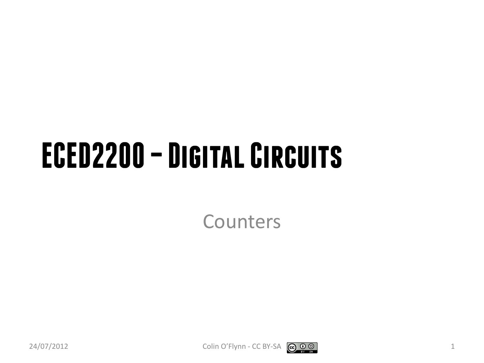#### **ECED2200 –Digital Circuits**

Counters



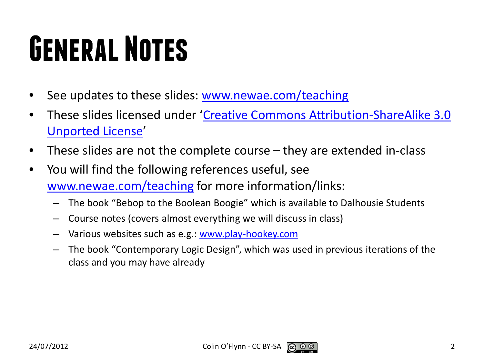## **General Notes**

- See updates to these slides: [www.newae.com/teaching](http://www.newae.com/teaching)
- These slides licensed under '[Creative Commons Attribution-ShareAlike](http://creativecommons.org/licenses/by-sa/3.0/) 3.0 [Unported](http://creativecommons.org/licenses/by-sa/3.0/) License'
- These slides are not the complete course they are extended in-class
- You will find the following references useful, see [www.newae.com/teaching](http://www.newae.com/teaching) for more information/links:
	- The book "Bebop to the Boolean Boogie" which is available to Dalhousie Students
	- Course notes (covers almost everything we will discuss in class)
	- Various websites such as e.g.: [www.play-hookey.com](http://www.play-hookey.com/)
	- The book "Contemporary Logic Design", which was used in previous iterations of the class and you may have already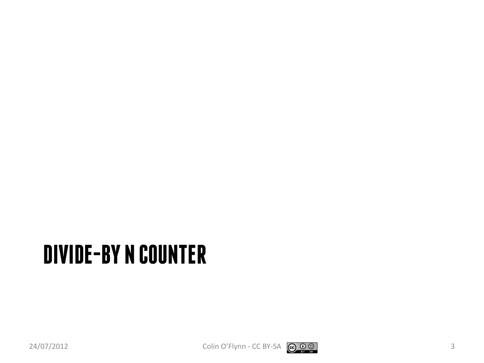#### **DIVIDE-BY N COUNTER**

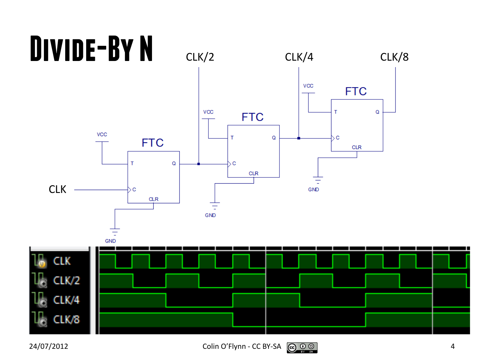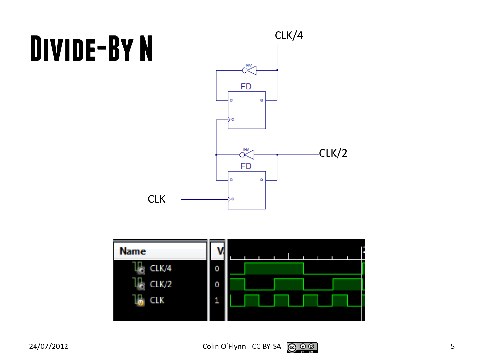## **Divide-By N**





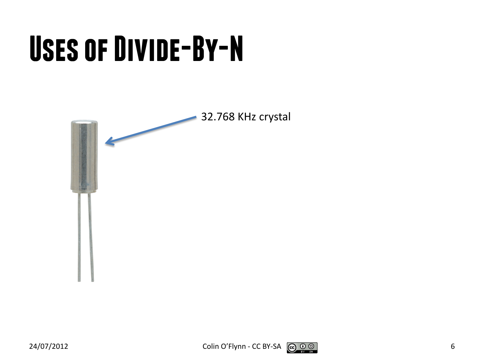## **Uses of Divide-By-N**



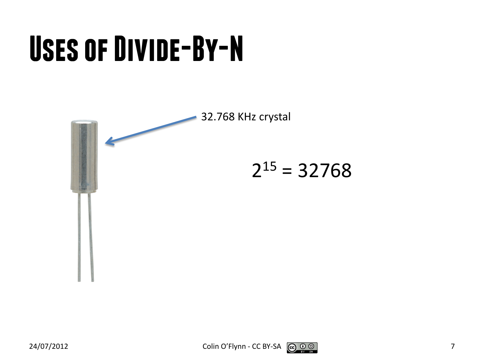## **Uses of Divide-By-N**

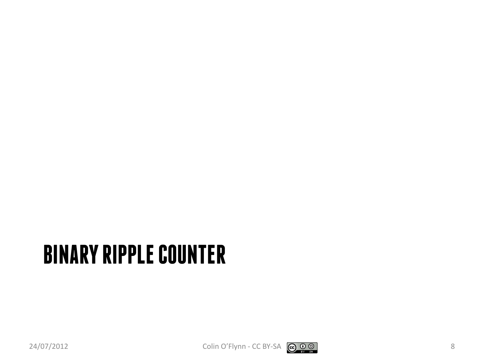#### **BINARY RIPPLE COUNTER**

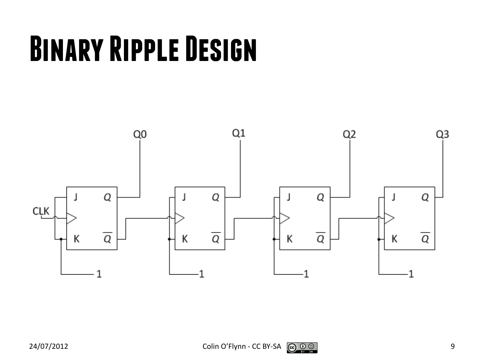### **Binary Ripple Design**

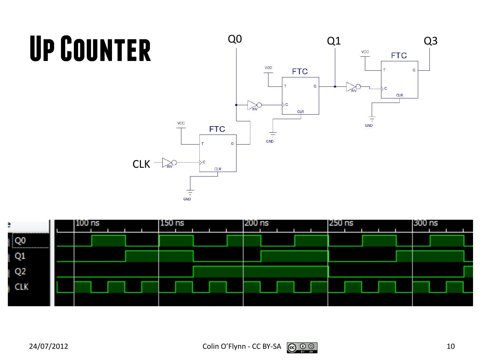# **Up Counter**



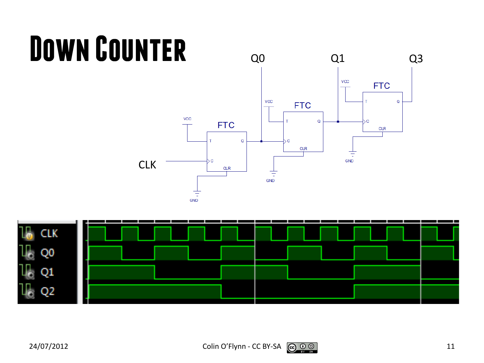# **Down Counter**



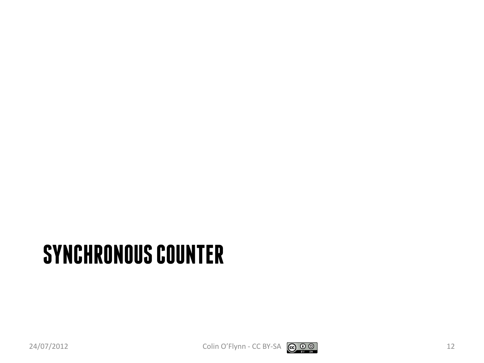#### **SYNCHRONOUS COUNTER**

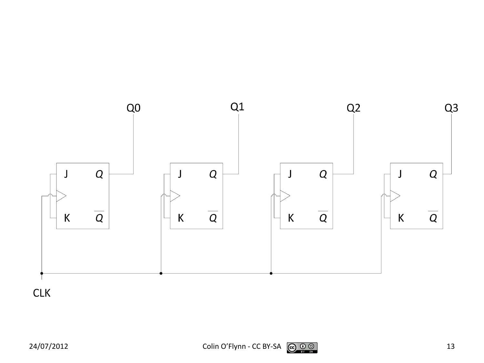

**CLK**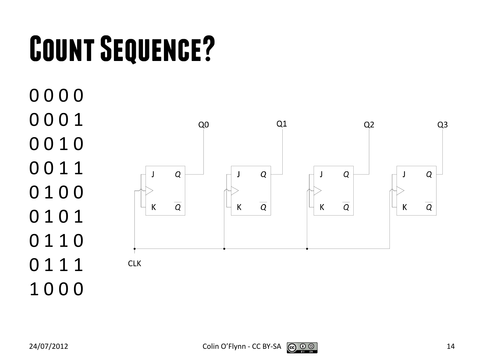# **Count Sequence?**

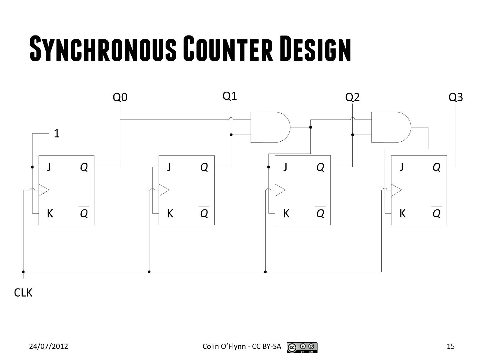#### **Synchronous Counter Design**



**CLK**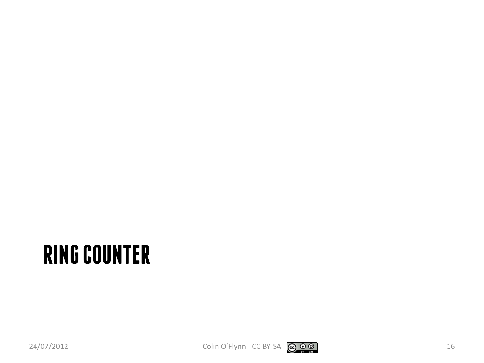#### **RING COUNTER**

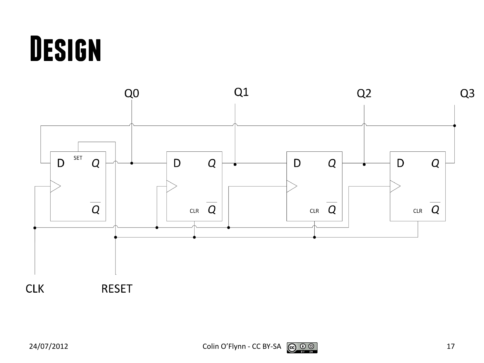#### **Design**

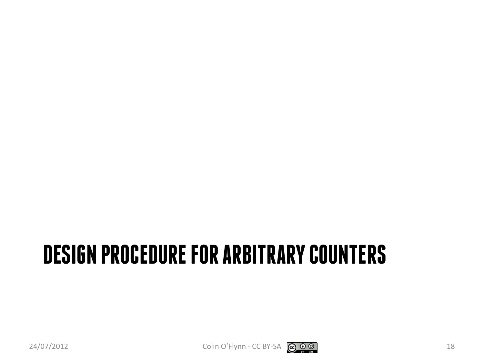#### **DESIGN PROCEDURE FOR ARBITRARY COUNTERS**



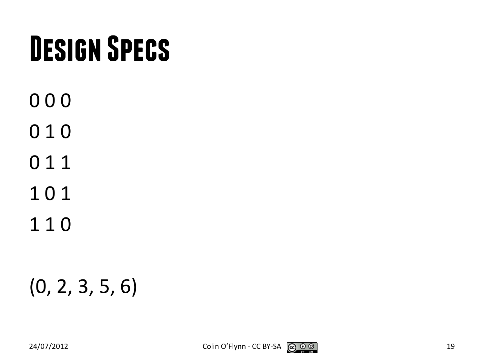### **Design Specs**

- 0 0 0
- 0 1 0
- 0 1 1
- 1 0 1
- 1 1 0

#### (0, 2, 3, 5, 6)

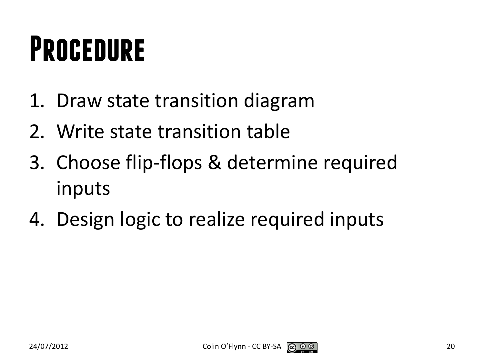#### **Procedure**

- 1. Draw state transition diagram
- 2. Write state transition table
- 3. Choose flip-flops & determine required inputs
- 4. Design logic to realize required inputs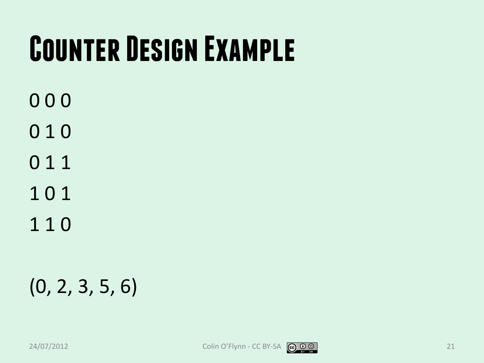### **Counter Design Example**

- 0 0 0
- 0 1 0
- 0 1 1
- 1 0 1
- 1 1 0

#### (0, 2, 3, 5, 6)

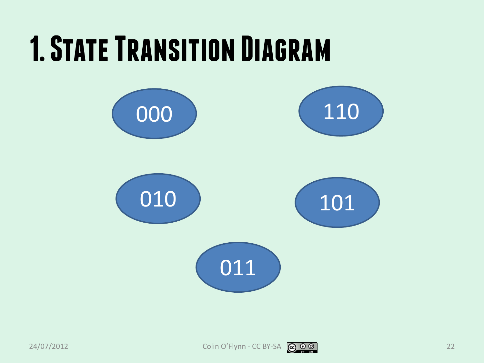#### **1. State Transition Diagram**

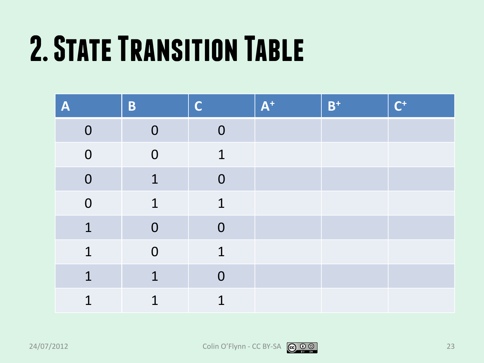## **2. State Transition Table**

| A              | B              | $\mathsf C$    | $A^+$ | $B^+$ | $\mathsf{C}^+$ |
|----------------|----------------|----------------|-------|-------|----------------|
| $\overline{0}$ | $\overline{0}$ | $\mathbf 0$    |       |       |                |
| $\overline{0}$ | $\overline{0}$ | 1              |       |       |                |
| $\overline{0}$ | $\mathbf 1$    | $\mathbf 0$    |       |       |                |
| $\overline{0}$ | $\mathbf 1$    | $\mathbf 1$    |       |       |                |
| $\overline{1}$ | $\mathbf 0$    | $\mathbf 0$    |       |       |                |
| $\mathbf 1$    | $\overline{0}$ | $\mathbf{1}$   |       |       |                |
| $\overline{1}$ | $\mathbf 1$    | $\overline{0}$ |       |       |                |
| 1              | 1              | 1              |       |       |                |

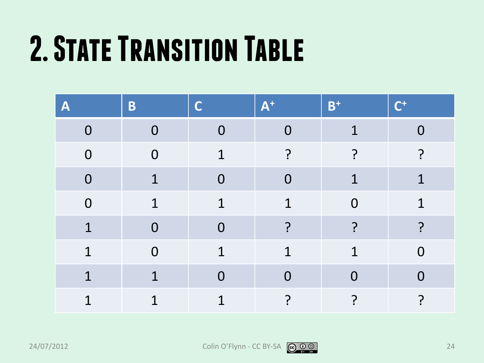## **2. State Transition Table**

| $\boldsymbol{\mathsf{A}}$ | B              | C              | $A^+$          | $B^+$          | $\mathsf{\Gamma^{+}}$ |
|---------------------------|----------------|----------------|----------------|----------------|-----------------------|
| $\overline{0}$            | $\Omega$       | $\overline{0}$ | $\overline{0}$ |                | N                     |
| $\overline{0}$            | $\overline{0}$ | $\mathbf 1$    | ?              |                | ?                     |
| $\overline{0}$            | $\mathbf 1$    | $\overline{0}$ | $\overline{0}$ | $\mathbf 1$    | $\mathbf 1$           |
| $\overline{0}$            | $\mathbf 1$    | $\mathbf 1$    | $\overline{1}$ | $\overline{0}$ | $\mathbf 1$           |
| $\overline{1}$            | $\mathbf{0}$   | $\overline{0}$ | ?              | 7              | ?                     |
| $\overline{1}$            | $\overline{0}$ | $\mathbf 1$    | $\overline{1}$ | $\overline{1}$ | $\overline{0}$        |
| 1                         | 1              | $\Omega$       | $\overline{0}$ | $\Omega$       | $\Omega$              |
| 1                         | 1              | $\overline{1}$ | ?              |                | $\mathbf{P}$          |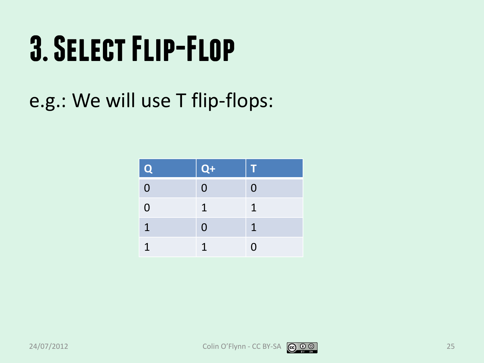### **3. Select Flip-Flop**

#### e.g.: We will use T flip-flops:

| Q              | $Q+$           | т              |
|----------------|----------------|----------------|
| $\overline{0}$ | $\overline{0}$ | $\overline{0}$ |
| $\overline{0}$ | 1              | 1              |
| $\mathbf{T}$   | $\overline{0}$ | 1              |
|                | 1              | 0              |

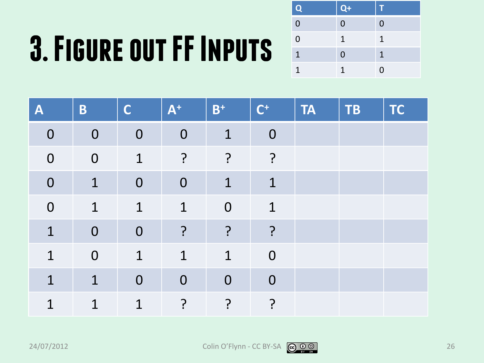# **3. Figure out FF Inputs**

| $\overline{\mathbf{Q}}$ | $Q+$ | T            |
|-------------------------|------|--------------|
| $\overline{0}$          | 0    | $\Omega$     |
| $\overline{0}$          | 1    | $\mathbf{1}$ |
| $\mathbf{1}$            | 0    | 1            |
| 1                       | 1    | $\Omega$     |

| $\boldsymbol{\mathsf{A}}$ | B              | $\mathsf{C}$ | $A^+$       | $B^+$        | $\mathsf{C}^+$ | <b>TA</b> | TB | <b>TC</b> |
|---------------------------|----------------|--------------|-------------|--------------|----------------|-----------|----|-----------|
| $\mathbf 0$               | $\mathbf 0$    | $\mathbf 0$  | $\mathbf 0$ | $\mathbf 1$  | $\mathbf 0$    |           |    |           |
| $\mathbf 0$               | $\overline{0}$ | 1            | $\cdot$     | ?            | ?              |           |    |           |
| $\mathbf 0$               | $\mathbf 1$    | $\mathbf{0}$ | $\mathbf 0$ | $\mathbf{1}$ | $\mathbf 1$    |           |    |           |
| $\mathbf 0$               | $\overline{1}$ | $\mathbf 1$  | $\mathbf 1$ | $\mathbf 0$  | $\overline{1}$ |           |    |           |
| $\mathbf 1$               | $\overline{0}$ | $\mathbf{0}$ | $\cdot$     | ?            | ?              |           |    |           |
| $\overline{1}$            | $\mathbf 0$    | $\mathbf 1$  | $\mathbf 1$ | $\mathbf 1$  | $\overline{0}$ |           |    |           |
| 1                         | $\mathbf 1$    | $\mathbf 0$  | $\mathbf 0$ | $\mathbf 0$  | $\overline{0}$ |           |    |           |
| 1                         | $\mathbf 1$    | 1            | ?           | ?            | ?              |           |    |           |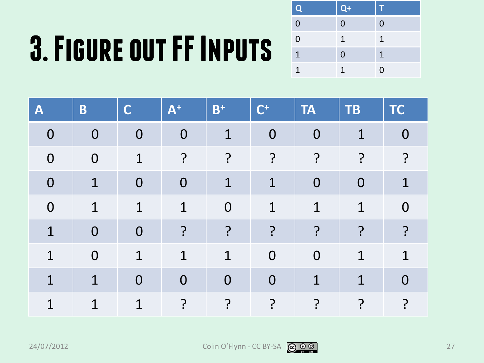# **3. Figure out FF Inputs**

| $\mathbf{Q}$   | $Q+$ | 11             |
|----------------|------|----------------|
| $\overline{0}$ | 0    | $\overline{0}$ |
| $\overline{0}$ | 1    | 1              |
| 1              | 0    | 1              |
| 1              | 1    | $\Omega$       |

| $\boldsymbol{\mathsf{A}}$ | B              | C              | $A^+$          | $B^+$          | $\mathsf{C}^+$ | <b>TA</b>      | <b>TB</b>      | <b>TC</b>      |
|---------------------------|----------------|----------------|----------------|----------------|----------------|----------------|----------------|----------------|
| $\overline{0}$            | $\overline{0}$ | $\overline{0}$ | $\mathbf 0$    | $\mathbf 1$    | $\mathbf 0$    | $\mathbf 0$    | $\mathbf 1$    | $\overline{0}$ |
| $\overline{0}$            | $\overline{0}$ | $\mathbf 1$    | $\overline{?}$ | $\cdot$        | $\cdot$        | $\overline{P}$ | 7              | ?              |
| $\overline{0}$            | $\mathbf{1}$   | $\overline{0}$ | $\overline{0}$ | $\mathbf{1}$   | $\overline{1}$ | $\overline{0}$ | $\overline{0}$ | $\mathbf 1$    |
| $\overline{0}$            | $\mathbf 1$    | $\mathbf 1$    | $\mathbf 1$    | $\mathbf 0$    | $\overline{1}$ | 1              | 1              | 0              |
| $\mathbf 1$               | $\overline{0}$ | $\overline{0}$ | $\overline{?}$ | ?              | ?              | ?              | 7              | ?              |
| 1                         | $\overline{0}$ | $\mathbf 1$    | $\mathbf{1}$   | $\mathbf 1$    | $\overline{0}$ | $\overline{0}$ | $\mathbf 1$    | 1              |
| 1                         | $\mathbf 1$    | $\overline{0}$ | $\overline{0}$ | $\overline{0}$ | $\overline{0}$ | $\mathbf 1$    | 1              | $\Omega$       |
| 1                         | $\mathbf 1$    | 1              | ?              | ?              | ?              | ?<br>.         | ှာ             | ှာ             |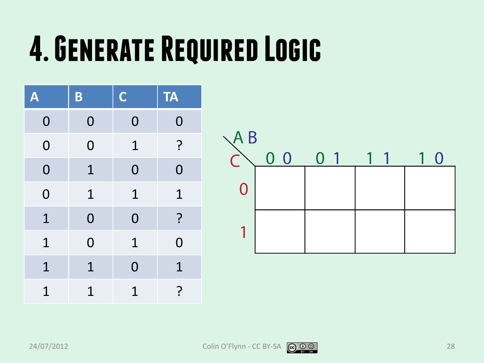#### **4. Generate Required Logic**

| A              | B              | $\mathbf C$    | <b>TA</b>      |
|----------------|----------------|----------------|----------------|
| $\mathbf 0$    | $\mathbf{O}$   | $\mathbf 0$    | $\mathbf 0$    |
| $\overline{O}$ | $\mathbf 0$    | $\mathbf 1$    | ?              |
| $\overline{0}$ | $\mathbf 1$    | $\overline{0}$ | $\overline{0}$ |
| $\overline{O}$ | $\mathbf 1$    | $\mathbf 1$    | $\mathbf 1$    |
| $\mathbf{1}$   | $\overline{0}$ | $\overline{0}$ | ?              |
| $\mathbf 1$    | $\overline{0}$ | $\mathbf 1$    | $\overline{0}$ |
| $\mathbf 1$    | $\mathbf 1$    | $\overline{0}$ | $\mathbf 1$    |
| $\mathbf 1$    | $\mathbf 1$    | $\mathbf 1$    | ?              |



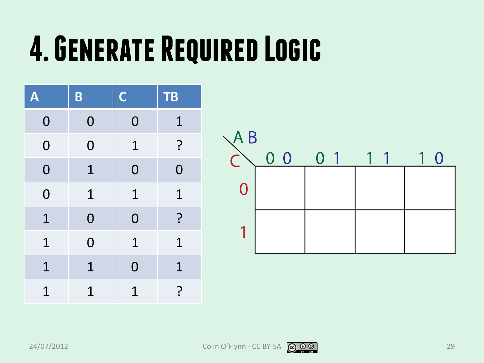#### **4. Generate Required Logic**

| A              | B              | $\mathbf C$    | <b>TB</b>      |
|----------------|----------------|----------------|----------------|
| $\mathbf 0$    | $\mathbf{O}$   | $\bf{0}$       | $\mathbf 1$    |
| $\overline{0}$ | $\overline{0}$ | $\mathbf 1$    | $\cdot$        |
| $\overline{0}$ | $\mathbf 1$    | $\overline{0}$ | $\overline{O}$ |
| $\overline{0}$ | $\mathbf 1$    | $\mathbf 1$    | $\mathbf 1$    |
| $\mathbf 1$    | $\overline{0}$ | $\overline{0}$ | ?              |
| $\mathbf 1$    | $\overline{0}$ | $\mathbf 1$    | $\mathbf 1$    |
| $\mathbf 1$    | $\mathbf 1$    | $\overline{0}$ | $\mathbf 1$    |
| $\overline{1}$ | $\overline{1}$ | $\mathbf 1$    | ?              |

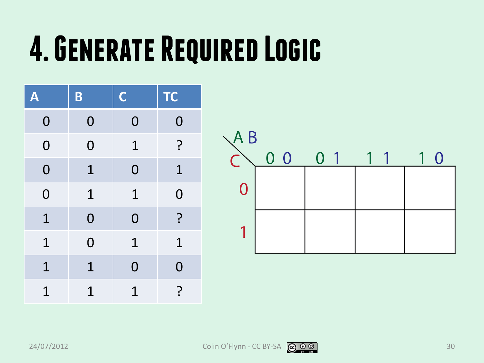#### **4. Generate Required Logic**

| A              | B              | $\mathbf C$    | <b>TC</b>      |
|----------------|----------------|----------------|----------------|
| $\mathbf 0$    | $\mathbf{0}$   | $\mathbf 0$    | $\mathbf 0$    |
| $\overline{0}$ | $\overline{0}$ | $\mathbf 1$    | $\ddot{.}$     |
| $\overline{0}$ | $\mathbf 1$    | $\overline{0}$ | $\mathbf 1$    |
| $\overline{0}$ | $\mathbf 1$    | $\mathbf 1$    | $\overline{0}$ |
| $\mathbf{1}$   | $\overline{0}$ | $\overline{0}$ | ?              |
| $\mathbf{1}$   | $\overline{0}$ | $\mathbf 1$    | $\mathbf 1$    |
| $\mathbf{1}$   | $\mathbf 1$    | $\overline{0}$ | $\overline{0}$ |
| $\mathbf 1$    | $\mathbf 1$    | $\overline{1}$ | ?              |



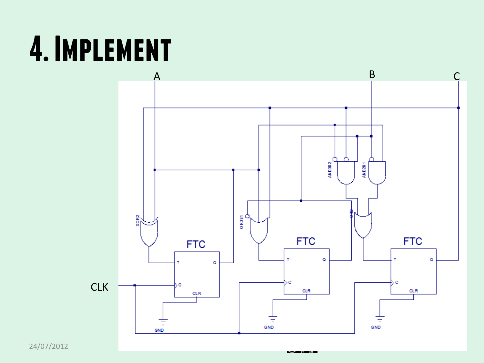#### **4. Implement**



24/07/2012 Colin O'Flynn - Colin O'Flynn - Colin O'Flynn - Colin O'Flynn - Colin O'Flynn - Colin O'Flynn - Col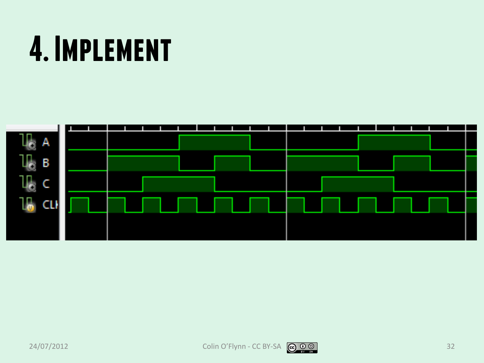#### **4. Implement**



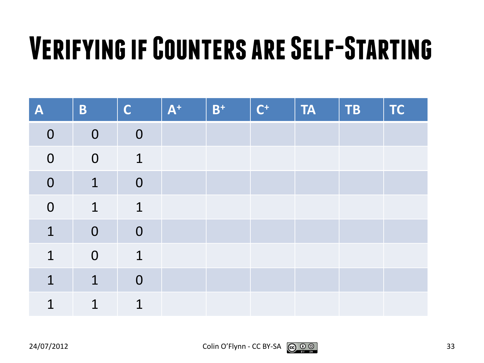#### **Verifying if Counters are Self-Starting**

| A              | B              | $\mathsf{C}$   | $A^+$ | $B^+$ | $C^+$ | <b>TA</b> | <b>TB</b> | <b>TC</b> |
|----------------|----------------|----------------|-------|-------|-------|-----------|-----------|-----------|
| $\overline{0}$ | $\mathbf 0$    | $\overline{0}$ |       |       |       |           |           |           |
| $\mathbf 0$    | $\mathbf 0$    | $\mathbf{1}$   |       |       |       |           |           |           |
| $\mathbf 0$    | $\mathbf{1}$   | $\mathbf 0$    |       |       |       |           |           |           |
| $\mathbf 0$    | $\mathbf 1$    | $\mathbf 1$    |       |       |       |           |           |           |
| $\mathbf{1}$   | $\overline{0}$ | $\overline{0}$ |       |       |       |           |           |           |
| $\mathbf 1$    | $\mathbf 0$    | $\mathbf 1$    |       |       |       |           |           |           |
| $\mathbf 1$    | $\mathbf 1$    | $\overline{0}$ |       |       |       |           |           |           |
| $\mathbf 1$    | 1              | 1              |       |       |       |           |           |           |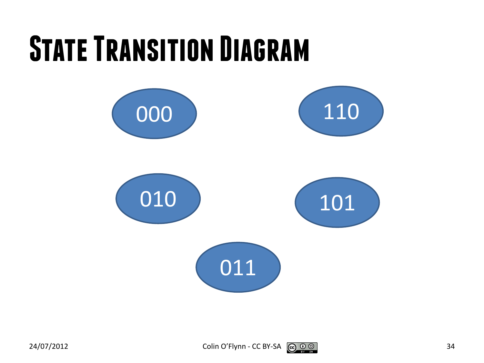#### **State Transition Diagram**